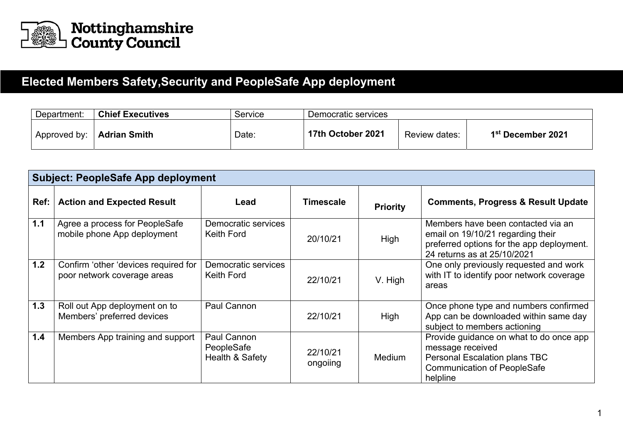

## **Elected Members Safety,Security and PeopleSafe App deployment**

| Department:  | <b>Chief Executives</b> | Service | Democratic services |               |                               |  |  |
|--------------|-------------------------|---------|---------------------|---------------|-------------------------------|--|--|
| Approved by: | <b>Adrian Smith</b>     | Date:   | 17th October 2021   | Review dates: | 1 <sup>st</sup> December 2021 |  |  |

| <b>Subject: PeopleSafe App deployment</b> |                                                                     |                                                         |                      |                 |                                                                                                                                                     |  |  |  |
|-------------------------------------------|---------------------------------------------------------------------|---------------------------------------------------------|----------------------|-----------------|-----------------------------------------------------------------------------------------------------------------------------------------------------|--|--|--|
| Ref:                                      | <b>Action and Expected Result</b>                                   | Lead                                                    | <b>Timescale</b>     | <b>Priority</b> | <b>Comments, Progress &amp; Result Update</b>                                                                                                       |  |  |  |
| $1.1$                                     | Agree a process for PeopleSafe<br>mobile phone App deployment       | Democratic services<br>Keith Ford                       | 20/10/21             | High            | Members have been contacted via an<br>email on 19/10/21 regarding their<br>preferred options for the app deployment.<br>24 returns as at 25/10/2021 |  |  |  |
| 1.2                                       | Confirm 'other 'devices required for<br>poor network coverage areas | Democratic services<br>Keith Ford                       | 22/10/21             | V. High         | One only previously requested and work<br>with IT to identify poor network coverage<br>areas                                                        |  |  |  |
| 1.3                                       | Roll out App deployment on to<br>Members' preferred devices         | Paul Cannon                                             | 22/10/21             | High            | Once phone type and numbers confirmed<br>App can be downloaded within same day<br>subject to members actioning                                      |  |  |  |
| 1.4                                       | Members App training and support                                    | Paul Cannon<br>PeopleSafe<br><b>Health &amp; Safety</b> | 22/10/21<br>ongoiing | <b>Medium</b>   | Provide guidance on what to do once app<br>message received<br>Personal Escalation plans TBC<br><b>Communication of PeopleSafe</b><br>helpline      |  |  |  |